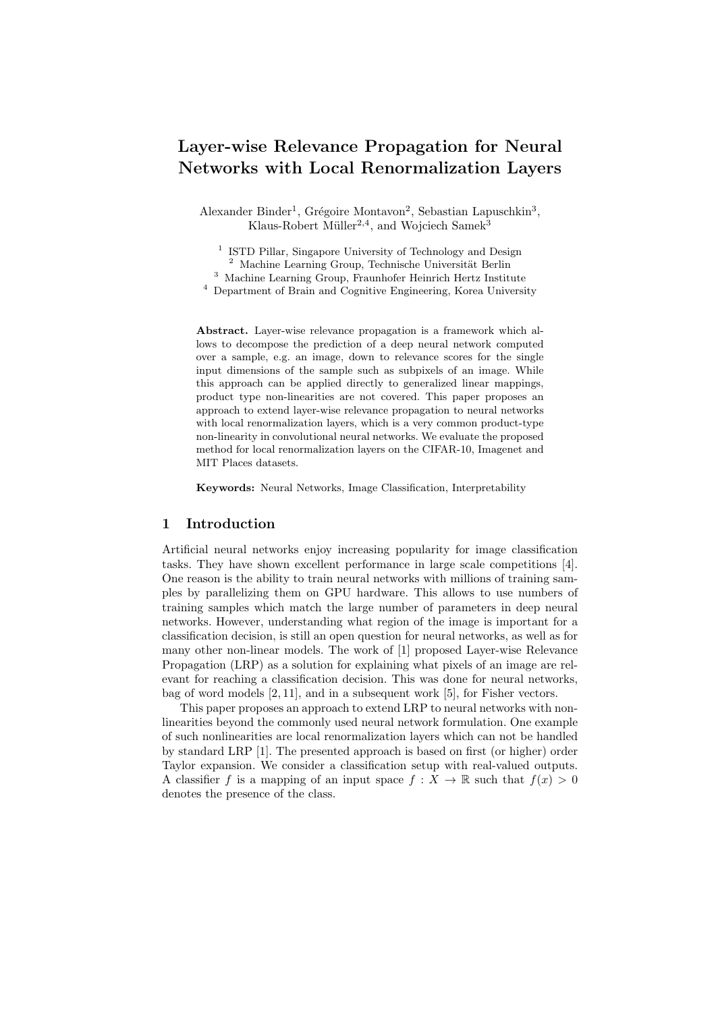# Layer-wise Relevance Propagation for Neural Networks with Local Renormalization Layers

Alexander Binder<sup>1</sup>, Grégoire Montavon<sup>2</sup>, Sebastian Lapuschkin<sup>3</sup>, Klaus-Robert Müller<sup>2,4</sup>, and Wojciech Samek<sup>3</sup>

<sup>1</sup> ISTD Pillar, Singapore University of Technology and Design

 $2$  Machine Learning Group, Technische Universität Berlin

<sup>3</sup> Machine Learning Group, Fraunhofer Heinrich Hertz Institute

<sup>4</sup> Department of Brain and Cognitive Engineering, Korea University

Abstract. Layer-wise relevance propagation is a framework which allows to decompose the prediction of a deep neural network computed over a sample, e.g. an image, down to relevance scores for the single input dimensions of the sample such as subpixels of an image. While this approach can be applied directly to generalized linear mappings, product type non-linearities are not covered. This paper proposes an approach to extend layer-wise relevance propagation to neural networks with local renormalization layers, which is a very common product-type non-linearity in convolutional neural networks. We evaluate the proposed method for local renormalization layers on the CIFAR-10, Imagenet and MIT Places datasets.

Keywords: Neural Networks, Image Classification, Interpretability

## 1 Introduction

Artificial neural networks enjoy increasing popularity for image classification tasks. They have shown excellent performance in large scale competitions [4]. One reason is the ability to train neural networks with millions of training samples by parallelizing them on GPU hardware. This allows to use numbers of training samples which match the large number of parameters in deep neural networks. However, understanding what region of the image is important for a classification decision, is still an open question for neural networks, as well as for many other non-linear models. The work of [1] proposed Layer-wise Relevance Propagation (LRP) as a solution for explaining what pixels of an image are relevant for reaching a classification decision. This was done for neural networks, bag of word models [2, 11], and in a subsequent work [5], for Fisher vectors.

This paper proposes an approach to extend LRP to neural networks with nonlinearities beyond the commonly used neural network formulation. One example of such nonlinearities are local renormalization layers which can not be handled by standard LRP [1]. The presented approach is based on first (or higher) order Taylor expansion. We consider a classification setup with real-valued outputs. A classifier f is a mapping of an input space  $f: X \to \mathbb{R}$  such that  $f(x) > 0$ denotes the presence of the class.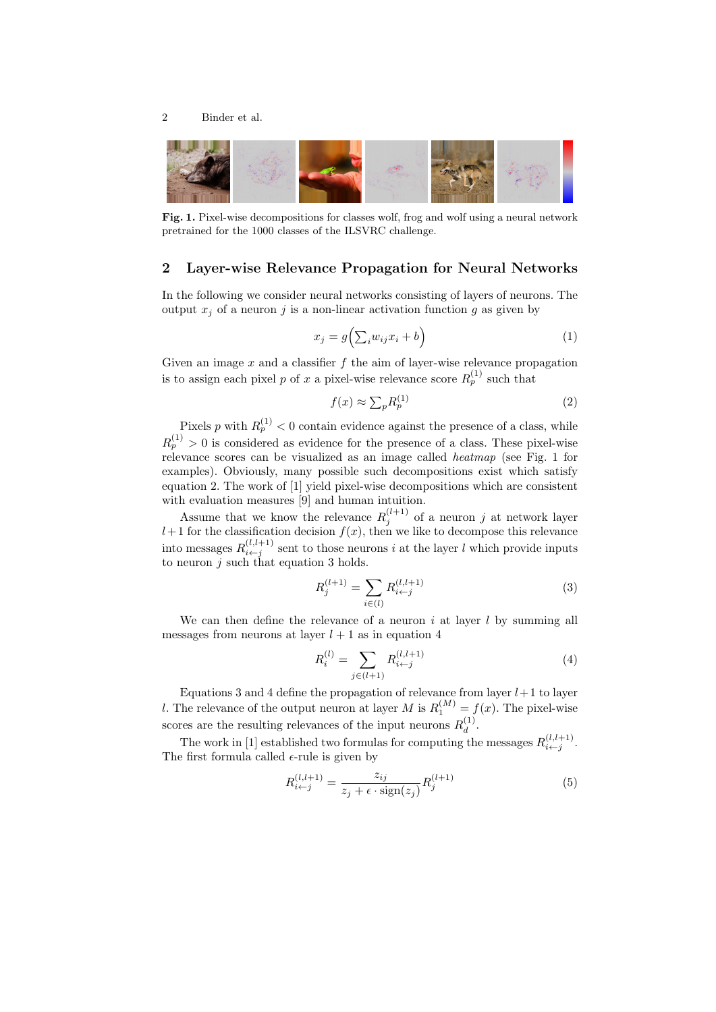

Fig. 1. Pixel-wise decompositions for classes wolf, frog and wolf using a neural network pretrained for the 1000 classes of the ILSVRC challenge.

## 2 Layer-wise Relevance Propagation for Neural Networks

In the following we consider neural networks consisting of layers of neurons. The output  $x_i$  of a neuron j is a non-linear activation function g as given by

$$
x_j = g\left(\sum_i w_{ij} x_i + b\right) \tag{1}
$$

Given an image  $x$  and a classifier  $f$  the aim of layer-wise relevance propagation is to assign each pixel p of x a pixel-wise relevance score  $R_p^{(1)}$  such that

$$
f(x) \approx \sum_{p} R_{p}^{(1)} \tag{2}
$$

Pixels p with  $R_p^{(1)} < 0$  contain evidence against the presence of a class, while  $R_p^{(1)} > 0$  is considered as evidence for the presence of a class. These pixel-wise relevance scores can be visualized as an image called heatmap (see Fig. 1 for examples). Obviously, many possible such decompositions exist which satisfy equation 2. The work of [1] yield pixel-wise decompositions which are consistent with evaluation measures [9] and human intuition.

Assume that we know the relevance  $R_j^{(l+1)}$  of a neuron j at network layer  $l+1$  for the classification decision  $f(x)$ , then we like to decompose this relevance into messages  $R_{i \leftarrow j}^{(l, l+1)}$  sent to those neurons i at the layer l which provide inputs to neuron  $j$  such that equation 3 holds.

$$
R_j^{(l+1)} = \sum_{i \in (l)} R_{i \leftarrow j}^{(l, l+1)} \tag{3}
$$

We can then define the relevance of a neuron  $i$  at layer  $l$  by summing all messages from neurons at layer  $l + 1$  as in equation 4

$$
R_i^{(l)} = \sum_{j \in (l+1)} R_{i \leftarrow j}^{(l, l+1)} \tag{4}
$$

Equations 3 and 4 define the propagation of relevance from layer  $l+1$  to layer *l*. The relevance of the output neuron at layer *M* is  $R_1^{(M)} = f(x)$ . The pixel-wise scores are the resulting relevances of the input neurons  $R_d^{(1)}$  $\frac{1}{d}$ .

The work in [1] established two formulas for computing the messages  $R_{i \leftarrow j}^{(l, l+1)}$ . The first formula called  $\epsilon$ -rule is given by

$$
R_{i \leftarrow j}^{(l,l+1)} = \frac{z_{ij}}{z_j + \epsilon \cdot \text{sign}(z_j)} R_j^{(l+1)}
$$
(5)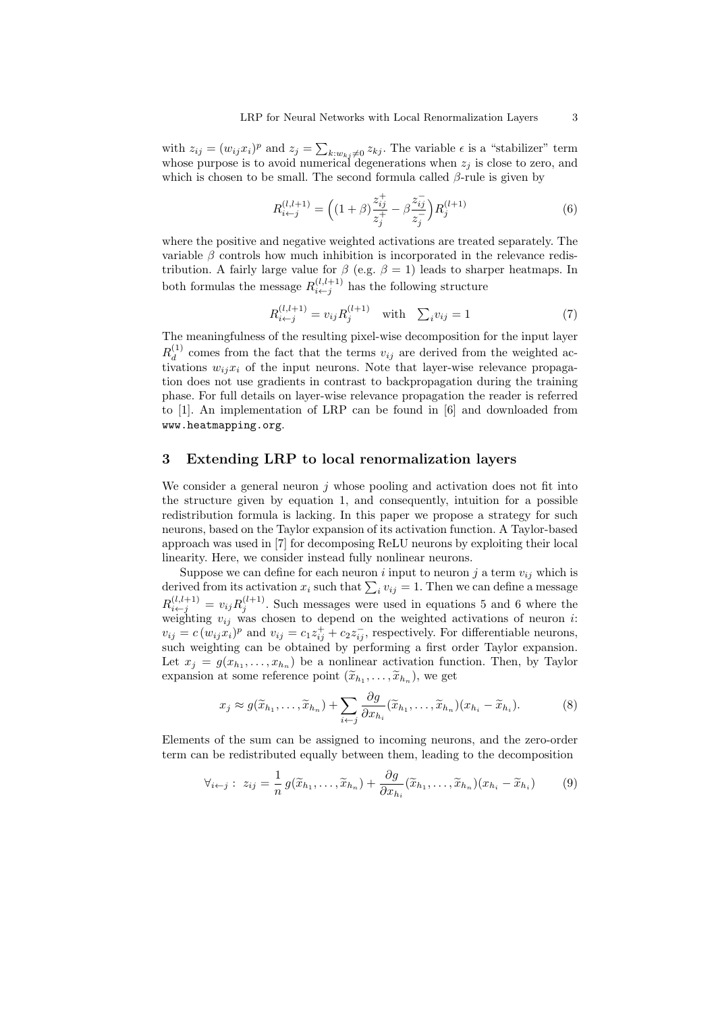with  $z_{ij} = (w_{ij}x_i)^p$  and  $z_j = \sum_{k:w_{kj}\neq 0} z_{kj}$ . The variable  $\epsilon$  is a "stabilizer" term whose purpose is to avoid numerical degenerations when  $z_j$  is close to zero, and which is chosen to be small. The second formula called  $\beta$ -rule is given by

$$
R_{i \leftarrow j}^{(l,l+1)} = \left( (1+\beta) \frac{z_{ij}^+}{z_j^+} - \beta \frac{z_{ij}^-}{z_j^-} \right) R_j^{(l+1)} \tag{6}
$$

where the positive and negative weighted activations are treated separately. The variable  $\beta$  controls how much inhibition is incorporated in the relevance redistribution. A fairly large value for  $\beta$  (e.g.  $\beta = 1$ ) leads to sharper heatmaps. In both formulas the message  $R_{i \leftarrow j}^{(l,l+1)}$  has the following structure

$$
R_{i \leftarrow j}^{(l,l+1)} = v_{ij} R_j^{(l+1)} \quad \text{with} \quad \sum_i v_{ij} = 1 \tag{7}
$$

The meaningfulness of the resulting pixel-wise decomposition for the input layer  $R_{d}^{\left( 1\right) }$  $\frac{d^{(1)}}{d}$  comes from the fact that the terms  $v_{ij}$  are derived from the weighted activations  $w_{ij}x_i$  of the input neurons. Note that layer-wise relevance propagation does not use gradients in contrast to backpropagation during the training phase. For full details on layer-wise relevance propagation the reader is referred to [1]. An implementation of LRP can be found in [6] and downloaded from www.heatmapping.org.

## 3 Extending LRP to local renormalization layers

We consider a general neuron  $j$  whose pooling and activation does not fit into the structure given by equation 1, and consequently, intuition for a possible redistribution formula is lacking. In this paper we propose a strategy for such neurons, based on the Taylor expansion of its activation function. A Taylor-based approach was used in [7] for decomposing ReLU neurons by exploiting their local linearity. Here, we consider instead fully nonlinear neurons.

Suppose we can define for each neuron i input to neuron j a term  $v_{ij}$  which is derived from its activation  $x_i$  such that  $\sum_i v_{ij} = 1$ . Then we can define a message  $R_{i \leftarrow j}^{(l,l+1)} = v_{ij} R_j^{(l+1)}$ . Such messages were used in equations 5 and 6 where the weighting  $v_{ij}$  was chosen to depend on the weighted activations of neuron i:  $v_{ij} = c(w_{ij}x_i)^p$  and  $v_{ij} = c_1z_{ij}^+ + c_2z_{ij}^-$ , respectively. For differentiable neurons, such weighting can be obtained by performing a first order Taylor expansion. Let  $x_j = g(x_{h_1}, \ldots, x_{h_n})$  be a nonlinear activation function. Then, by Taylor expansion at some reference point  $(\widetilde{x}_{h_1}, \ldots, \widetilde{x}_{h_n}),$  we get

$$
x_j \approx g(\widetilde{x}_{h_1}, \dots, \widetilde{x}_{h_n}) + \sum_{i \leftarrow j} \frac{\partial g}{\partial x_{h_i}} (\widetilde{x}_{h_1}, \dots, \widetilde{x}_{h_n}) (x_{h_i} - \widetilde{x}_{h_i}). \tag{8}
$$

Elements of the sum can be assigned to incoming neurons, and the zero-order term can be redistributed equally between them, leading to the decomposition

$$
\forall_{i \leftarrow j} : z_{ij} = \frac{1}{n} g(\widetilde{x}_{h_1}, \dots, \widetilde{x}_{h_n}) + \frac{\partial g}{\partial x_{h_i}} (\widetilde{x}_{h_1}, \dots, \widetilde{x}_{h_n}) (x_{h_i} - \widetilde{x}_{h_i}) \tag{9}
$$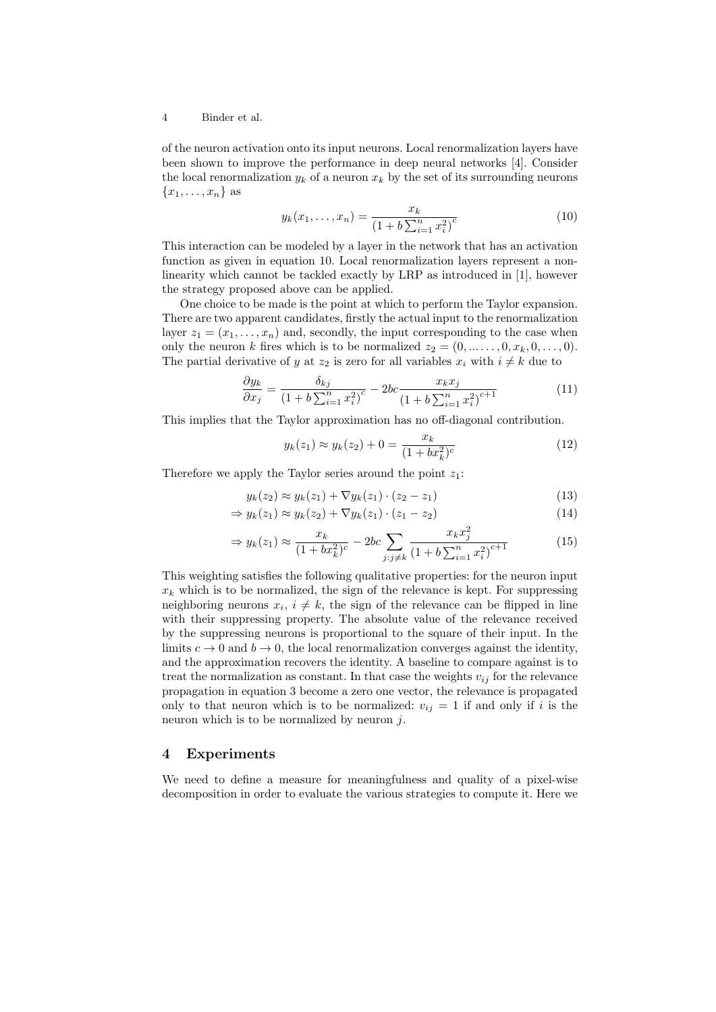#### 4 Binder et al.

of the neuron activation onto its input neurons. Local renormalization layers have been shown to improve the performance in deep neural networks [4]. Consider the local renormalization  $y_k$  of a neuron  $x_k$  by the set of its surrounding neurons  ${x_1, \ldots, x_n}$  as

$$
y_k(x_1,\ldots,x_n) = \frac{x_k}{(1+b\sum_{i=1}^n x_i^2)^c}
$$
 (10)

This interaction can be modeled by a layer in the network that has an activation function as given in equation 10. Local renormalization layers represent a nonlinearity which cannot be tackled exactly by LRP as introduced in [1], however the strategy proposed above can be applied.

One choice to be made is the point at which to perform the Taylor expansion. There are two apparent candidates, firstly the actual input to the renormalization layer  $z_1 = (x_1, \ldots, x_n)$  and, secondly, the input corresponding to the case when only the neuron k fires which is to be normalized  $z_2 = (0, \ldots, 0, x_k, 0, \ldots, 0)$ . The partial derivative of y at  $z_2$  is zero for all variables  $x_i$  with  $i \neq k$  due to

$$
\frac{\partial y_k}{\partial x_j} = \frac{\delta_{kj}}{\left(1 + b \sum_{i=1}^n x_i^2\right)^c} - 2bc \frac{x_k x_j}{\left(1 + b \sum_{i=1}^n x_i^2\right)^{c+1}}\tag{11}
$$

This implies that the Taylor approximation has no off-diagonal contribution.

$$
y_k(z_1) \approx y_k(z_2) + 0 = \frac{x_k}{(1 + bx_k^2)^c}
$$
 (12)

Therefore we apply the Taylor series around the point  $z_1$ :

$$
y_k(z_2) \approx y_k(z_1) + \nabla y_k(z_1) \cdot (z_2 - z_1)
$$
\n(13)

$$
\Rightarrow y_k(z_1) \approx y_k(z_2) + \nabla y_k(z_1) \cdot (z_1 - z_2) \tag{14}
$$

$$
\Rightarrow y_k(z_1) \approx \frac{x_k}{(1 + bx_k^2)^c} - 2bc \sum_{j:j \neq k} \frac{x_k x_j^2}{(1 + b \sum_{i=1}^n x_i^2)^{c+1}}
$$
(15)

This weighting satisfies the following qualitative properties: for the neuron input  $x_k$  which is to be normalized, the sign of the relevance is kept. For suppressing neighboring neurons  $x_i, i \neq k$ , the sign of the relevance can be flipped in line with their suppressing property. The absolute value of the relevance received by the suppressing neurons is proportional to the square of their input. In the limits  $c \to 0$  and  $b \to 0$ , the local renormalization converges against the identity, and the approximation recovers the identity. A baseline to compare against is to treat the normalization as constant. In that case the weights  $v_{ij}$  for the relevance propagation in equation 3 become a zero one vector, the relevance is propagated only to that neuron which is to be normalized:  $v_{ij} = 1$  if and only if i is the neuron which is to be normalized by neuron  $j$ .

## 4 Experiments

We need to define a measure for meaningfulness and quality of a pixel-wise decomposition in order to evaluate the various strategies to compute it. Here we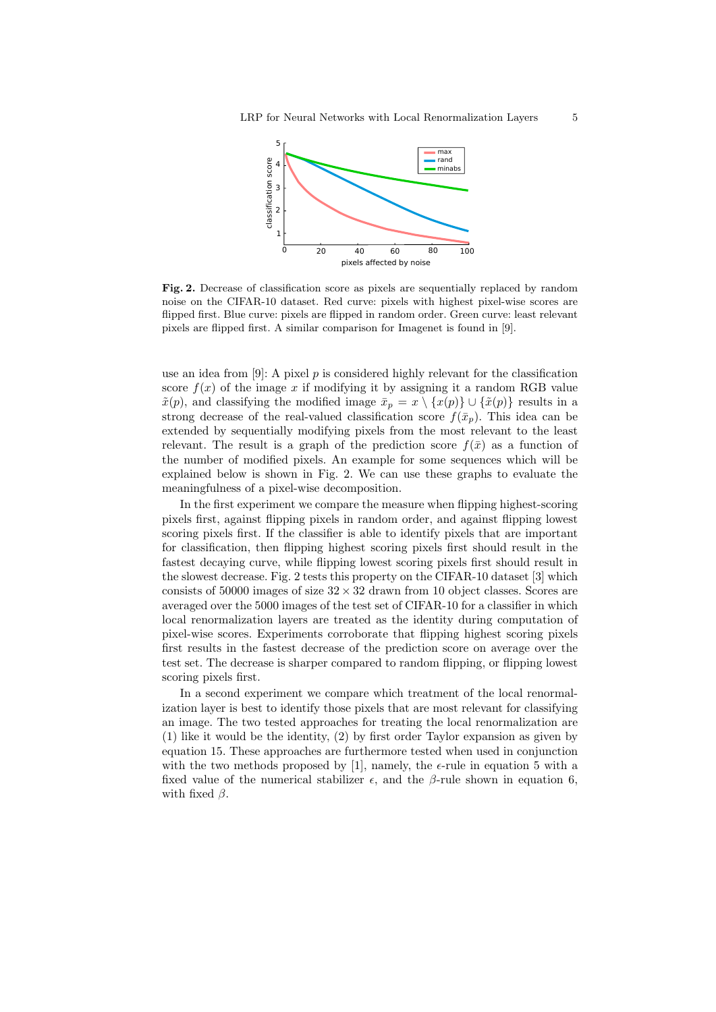

Fig. 2. Decrease of classification score as pixels are sequentially replaced by random noise on the CIFAR-10 dataset. Red curve: pixels with highest pixel-wise scores are flipped first. Blue curve: pixels are flipped in random order. Green curve: least relevant pixels are flipped first. A similar comparison for Imagenet is found in [9].

use an idea from  $[9]$ : A pixel p is considered highly relevant for the classification score  $f(x)$  of the image x if modifying it by assigning it a random RGB value  $\tilde{x}(p)$ , and classifying the modified image  $\bar{x}_p = x \setminus \{x(p)\} \cup \{\tilde{x}(p)\}\$ results in a strong decrease of the real-valued classification score  $f(\bar{x}_p)$ . This idea can be extended by sequentially modifying pixels from the most relevant to the least relevant. The result is a graph of the prediction score  $f(\bar{x})$  as a function of the number of modified pixels. An example for some sequences which will be explained below is shown in Fig. 2. We can use these graphs to evaluate the meaningfulness of a pixel-wise decomposition.

In the first experiment we compare the measure when flipping highest-scoring pixels first, against flipping pixels in random order, and against flipping lowest scoring pixels first. If the classifier is able to identify pixels that are important for classification, then flipping highest scoring pixels first should result in the fastest decaying curve, while flipping lowest scoring pixels first should result in the slowest decrease. Fig. 2 tests this property on the CIFAR-10 dataset [3] which consists of 50000 images of size  $32 \times 32$  drawn from 10 object classes. Scores are averaged over the 5000 images of the test set of CIFAR-10 for a classifier in which local renormalization layers are treated as the identity during computation of pixel-wise scores. Experiments corroborate that flipping highest scoring pixels first results in the fastest decrease of the prediction score on average over the test set. The decrease is sharper compared to random flipping, or flipping lowest scoring pixels first.

In a second experiment we compare which treatment of the local renormalization layer is best to identify those pixels that are most relevant for classifying an image. The two tested approaches for treating the local renormalization are (1) like it would be the identity, (2) by first order Taylor expansion as given by equation 15. These approaches are furthermore tested when used in conjunction with the two methods proposed by [1], namely, the  $\epsilon$ -rule in equation 5 with a fixed value of the numerical stabilizer  $\epsilon$ , and the  $\beta$ -rule shown in equation 6, with fixed  $\beta$ .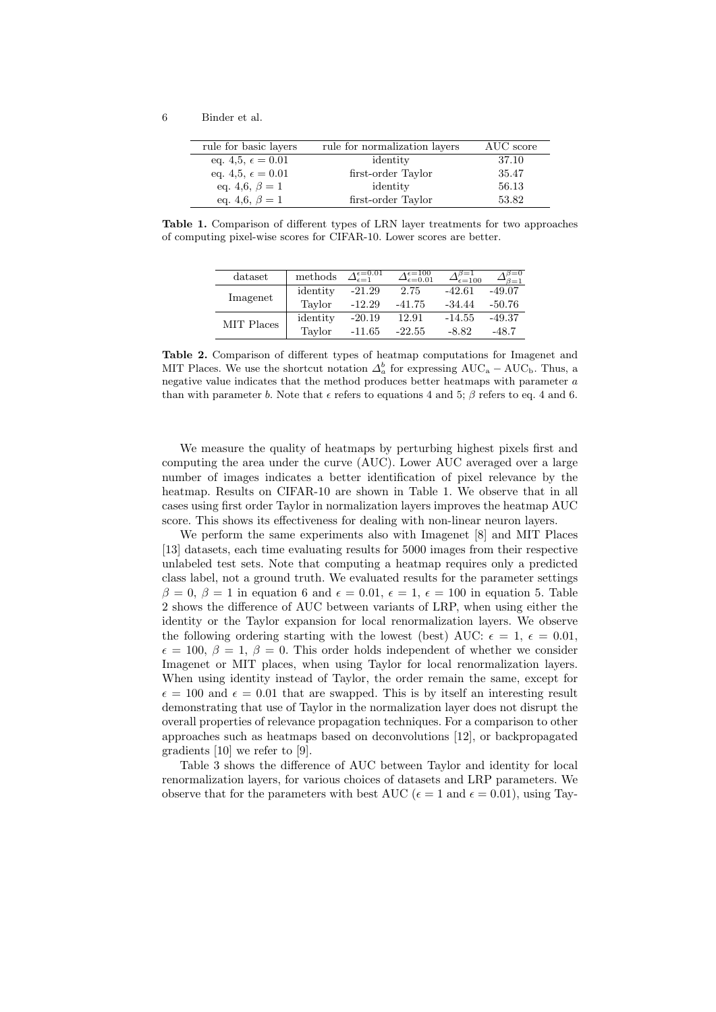| rule for basic layers      | rule for normalization layers | AUC score |
|----------------------------|-------------------------------|-----------|
| eq. 4,5, $\epsilon = 0.01$ | identity                      | 37.10     |
| eq. 4,5, $\epsilon = 0.01$ | first-order Taylor            | 35.47     |
| eq. 4,6, $\beta = 1$       | identity                      | 56.13     |
| eq. 4,6, $\beta = 1$       | first-order Taylor            | 53.82     |

Table 1. Comparison of different types of LRN layer treatments for two approaches of computing pixel-wise scores for CIFAR-10. Lower scores are better.

| dataset    | methods  | $\Delta_{\epsilon=1}^{\epsilon=0.01}$ | $\Delta_{\epsilon=0.01}^{\epsilon=100}$ | $\rightarrow \epsilon = 100$ | $3=0$<br>$3 = 1$ |
|------------|----------|---------------------------------------|-----------------------------------------|------------------------------|------------------|
| Imagenet   | identity | $-21.29$                              | 2.75                                    | $-42.61$                     | $-49.07$         |
|            | Taylor   | $-12.29$                              | $-41.75$                                | $-34.44$                     | $-50.76$         |
| MIT Places | identity | $-20.19$                              | 12.91                                   | $-14.55$                     | $-49.37$         |
|            | Taylor   | $-11.65$                              | $-22.55$                                | $-8.82$                      | -48.7            |

Table 2. Comparison of different types of heatmap computations for Imagenet and MIT Places. We use the shortcut notation  $\Delta_a^b$  for expressing AUC<sub>a</sub> – AUC<sub>b</sub>. Thus, a negative value indicates that the method produces better heatmaps with parameter a than with parameter b. Note that  $\epsilon$  refers to equations 4 and 5;  $\beta$  refers to eq. 4 and 6.

We measure the quality of heatmaps by perturbing highest pixels first and computing the area under the curve (AUC). Lower AUC averaged over a large number of images indicates a better identification of pixel relevance by the heatmap. Results on CIFAR-10 are shown in Table 1. We observe that in all cases using first order Taylor in normalization layers improves the heatmap AUC score. This shows its effectiveness for dealing with non-linear neuron layers.

We perform the same experiments also with Imagenet [8] and MIT Places [13] datasets, each time evaluating results for 5000 images from their respective unlabeled test sets. Note that computing a heatmap requires only a predicted class label, not a ground truth. We evaluated results for the parameter settings  $\beta = 0, \beta = 1$  in equation 6 and  $\epsilon = 0.01, \epsilon = 1, \epsilon = 100$  in equation 5. Table 2 shows the difference of AUC between variants of LRP, when using either the identity or the Taylor expansion for local renormalization layers. We observe the following ordering starting with the lowest (best) AUC:  $\epsilon = 1, \epsilon = 0.01$ ,  $\epsilon = 100, \beta = 1, \beta = 0$ . This order holds independent of whether we consider Imagenet or MIT places, when using Taylor for local renormalization layers. When using identity instead of Taylor, the order remain the same, except for  $\epsilon = 100$  and  $\epsilon = 0.01$  that are swapped. This is by itself an interesting result demonstrating that use of Taylor in the normalization layer does not disrupt the overall properties of relevance propagation techniques. For a comparison to other approaches such as heatmaps based on deconvolutions [12], or backpropagated gradients [10] we refer to [9].

Table 3 shows the difference of AUC between Taylor and identity for local renormalization layers, for various choices of datasets and LRP parameters. We observe that for the parameters with best AUC ( $\epsilon = 1$  and  $\epsilon = 0.01$ ), using Tay-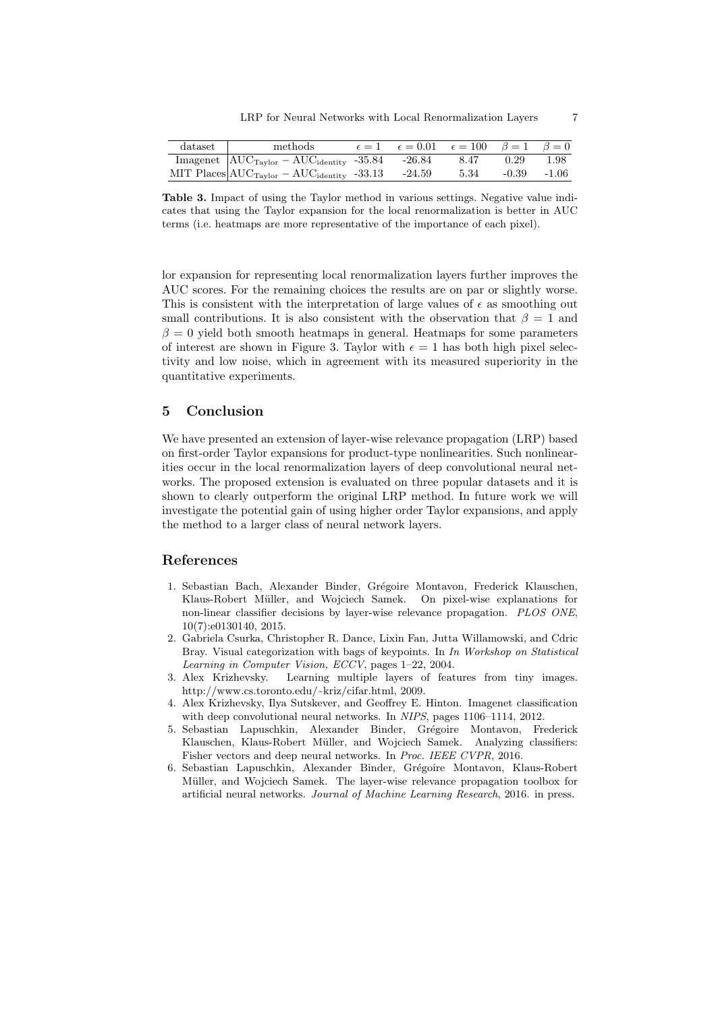| dataset | methods                                                     | $\epsilon = 1$ $\epsilon = 0.01$ $\epsilon = 100$ $\beta = 1$ $\beta = 0$ |      |               |      |
|---------|-------------------------------------------------------------|---------------------------------------------------------------------------|------|---------------|------|
|         | Imagenet $\rm AUC_{Taylor} - AUC_{identity} - 35.84$ -26.84 |                                                                           | 8.47 | 0.29          | 1.98 |
|         | MIT Places $AUC_{Taylor} - AUC_{identity} - 33.13$ -24.59   |                                                                           | 5.34 | $-0.39 -1.06$ |      |

Table 3. Impact of using the Taylor method in various settings. Negative value indicates that using the Taylor expansion for the local renormalization is better in AUC terms (i.e. heatmaps are more representative of the importance of each pixel).

lor expansion for representing local renormalization layers further improves the AUC scores. For the remaining choices the results are on par or slightly worse. This is consistent with the interpretation of large values of  $\epsilon$  as smoothing out small contributions. It is also consistent with the observation that  $\beta = 1$  and  $\beta = 0$  yield both smooth heatmaps in general. Heatmaps for some parameters of interest are shown in Figure 3. Taylor with  $\epsilon = 1$  has both high pixel selectivity and low noise, which in agreement with its measured superiority in the quantitative experiments.

## 5 Conclusion

We have presented an extension of layer-wise relevance propagation (LRP) based on first-order Taylor expansions for product-type nonlinearities. Such nonlinearities occur in the local renormalization layers of deep convolutional neural networks. The proposed extension is evaluated on three popular datasets and it is shown to clearly outperform the original LRP method. In future work we will investigate the potential gain of using higher order Taylor expansions, and apply the method to a larger class of neural network layers.

## References

- 1. Sebastian Bach, Alexander Binder, Grégoire Montavon, Frederick Klauschen, Klaus-Robert Müller, and Wojciech Samek. On pixel-wise explanations for non-linear classifier decisions by layer-wise relevance propagation. PLOS ONE, 10(7):e0130140, 2015.
- 2. Gabriela Csurka, Christopher R. Dance, Lixin Fan, Jutta Willamowski, and Cdric Bray. Visual categorization with bags of keypoints. In In Workshop on Statistical Learning in Computer Vision, ECCV, pages 1–22, 2004.
- 3. Alex Krizhevsky. Learning multiple layers of features from tiny images. http://www.cs.toronto.edu/~kriz/cifar.html, 2009.
- 4. Alex Krizhevsky, Ilya Sutskever, and Geoffrey E. Hinton. Imagenet classification with deep convolutional neural networks. In NIPS, pages 1106–1114, 2012.
- 5. Sebastian Lapuschkin, Alexander Binder, Grégoire Montavon, Frederick Klauschen, Klaus-Robert Müller, and Wojciech Samek. Analyzing classifiers: Fisher vectors and deep neural networks. In Proc. IEEE CVPR, 2016.
- 6. Sebastian Lapuschkin, Alexander Binder, Grégoire Montavon, Klaus-Robert Müller, and Wojciech Samek. The layer-wise relevance propagation toolbox for artificial neural networks. Journal of Machine Learning Research, 2016. in press.